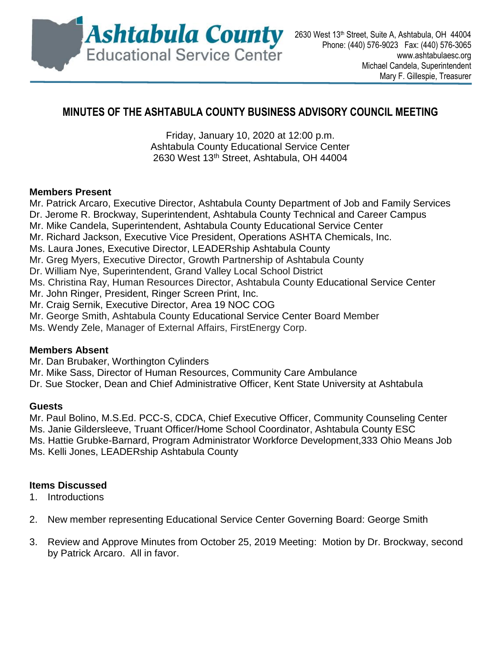

# **MINUTES OF THE ASHTABULA COUNTY BUSINESS ADVISORY COUNCIL MEETING**

Friday, January 10, 2020 at 12:00 p.m. Ashtabula County Educational Service Center 2630 West 13th Street, Ashtabula, OH 44004

#### **Members Present**

Mr. Patrick Arcaro, Executive Director, Ashtabula County Department of Job and Family Services Dr. Jerome R. Brockway, Superintendent, Ashtabula County Technical and Career Campus Mr. Mike Candela, Superintendent, Ashtabula County Educational Service Center Mr. Richard Jackson, Executive Vice President, Operations ASHTA Chemicals, Inc. Ms. Laura Jones, Executive Director, LEADERship Ashtabula County Mr. Greg Myers, Executive Director, Growth Partnership of Ashtabula County Dr. William Nye, Superintendent, Grand Valley Local School District Ms. Christina Ray, Human Resources Director, Ashtabula County Educational Service Center Mr. John Ringer, President, Ringer Screen Print, Inc. Mr. Craig Sernik, Executive Director, Area 19 NOC COG Mr. George Smith, Ashtabula County Educational Service Center Board Member Ms. Wendy Zele, Manager of External Affairs, FirstEnergy Corp.

## **Members Absent**

Mr. Dan Brubaker, Worthington Cylinders

Mr. Mike Sass, Director of Human Resources, Community Care Ambulance

Dr. Sue Stocker, Dean and Chief Administrative Officer, Kent State University at Ashtabula

#### **Guests**

Mr. Paul Bolino, M.S.Ed. PCC-S, CDCA, Chief Executive Officer, Community Counseling Center Ms. Janie Gildersleeve, Truant Officer/Home School Coordinator, Ashtabula County ESC Ms. Hattie Grubke-Barnard, Program Administrator Workforce Development,333 Ohio Means Job Ms. Kelli Jones, LEADERship Ashtabula County

## **Items Discussed**

1. Introductions

- 2. New member representing Educational Service Center Governing Board: George Smith
- 3. Review and Approve Minutes from October 25, 2019 Meeting: Motion by Dr. Brockway, second by Patrick Arcaro. All in favor.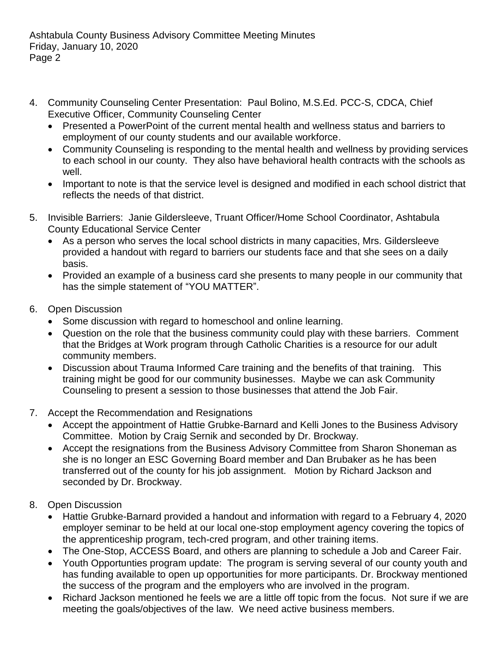- 4. Community Counseling Center Presentation: Paul Bolino, M.S.Ed. PCC-S, CDCA, Chief Executive Officer, Community Counseling Center
	- Presented a PowerPoint of the current mental health and wellness status and barriers to employment of our county students and our available workforce.
	- Community Counseling is responding to the mental health and wellness by providing services to each school in our county. They also have behavioral health contracts with the schools as well.
	- Important to note is that the service level is designed and modified in each school district that reflects the needs of that district.
- 5. Invisible Barriers: Janie Gildersleeve, Truant Officer/Home School Coordinator, Ashtabula County Educational Service Center
	- As a person who serves the local school districts in many capacities, Mrs. Gildersleeve provided a handout with regard to barriers our students face and that she sees on a daily basis.
	- Provided an example of a business card she presents to many people in our community that has the simple statement of "YOU MATTER".
- 6. Open Discussion
	- Some discussion with regard to homeschool and online learning.
	- Question on the role that the business community could play with these barriers. Comment that the Bridges at Work program through Catholic Charities is a resource for our adult community members.
	- Discussion about Trauma Informed Care training and the benefits of that training. This training might be good for our community businesses. Maybe we can ask Community Counseling to present a session to those businesses that attend the Job Fair.
- 7. Accept the Recommendation and Resignations
	- Accept the appointment of Hattie Grubke-Barnard and Kelli Jones to the Business Advisory Committee. Motion by Craig Sernik and seconded by Dr. Brockway.
	- Accept the resignations from the Business Advisory Committee from Sharon Shoneman as she is no longer an ESC Governing Board member and Dan Brubaker as he has been transferred out of the county for his job assignment. Motion by Richard Jackson and seconded by Dr. Brockway.
- 8. Open Discussion
	- Hattie Grubke-Barnard provided a handout and information with regard to a February 4, 2020 employer seminar to be held at our local one-stop employment agency covering the topics of the apprenticeship program, tech-cred program, and other training items.
	- The One-Stop, ACCESS Board, and others are planning to schedule a Job and Career Fair.
	- Youth Opportunties program update: The program is serving several of our county youth and has funding available to open up opportunities for more participants. Dr. Brockway mentioned the success of the program and the employers who are involved in the program.
	- Richard Jackson mentioned he feels we are a little off topic from the focus. Not sure if we are meeting the goals/objectives of the law. We need active business members.